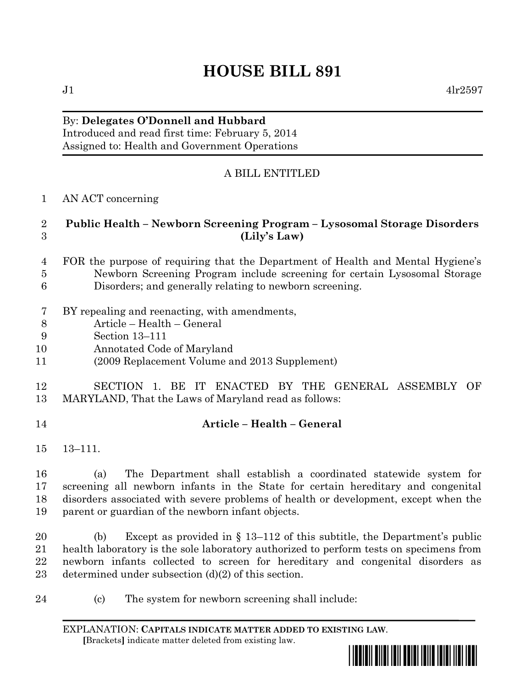# **HOUSE BILL 891**

By: **Delegates O'Donnell and Hubbard**

Introduced and read first time: February 5, 2014 Assigned to: Health and Government Operations

## A BILL ENTITLED

AN ACT concerning

#### **Public Health – Newborn Screening Program – Lysosomal Storage Disorders (Lily's Law)**

- FOR the purpose of requiring that the Department of Health and Mental Hygiene's Newborn Screening Program include screening for certain Lysosomal Storage Disorders; and generally relating to newborn screening.
- BY repealing and reenacting, with amendments,
- Article Health General
- Section 13–111
- Annotated Code of Maryland
- (2009 Replacement Volume and 2013 Supplement)

### SECTION 1. BE IT ENACTED BY THE GENERAL ASSEMBLY OF MARYLAND, That the Laws of Maryland read as follows:

#### **Article – Health – General**

13–111.

 (a) The Department shall establish a coordinated statewide system for screening all newborn infants in the State for certain hereditary and congenital disorders associated with severe problems of health or development, except when the parent or guardian of the newborn infant objects.

 (b) Except as provided in § 13–112 of this subtitle, the Department's public health laboratory is the sole laboratory authorized to perform tests on specimens from newborn infants collected to screen for hereditary and congenital disorders as determined under subsection (d)(2) of this section.

(c) The system for newborn screening shall include:

EXPLANATION: **CAPITALS INDICATE MATTER ADDED TO EXISTING LAW**.  **[**Brackets**]** indicate matter deleted from existing law.



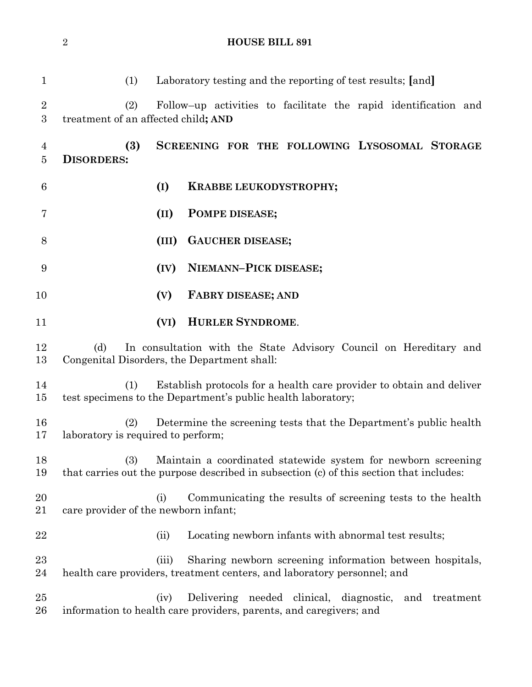(1) Laboratory testing and the reporting of test results; **[**and**]** (2) Follow–up activities to facilitate the rapid identification and treatment of an affected child**; AND (3) SCREENING FOR THE FOLLOWING LYSOSOMAL STORAGE DISORDERS: (I) KRABBE LEUKODYSTROPHY; (II) POMPE DISEASE; (III) GAUCHER DISEASE; (IV) NIEMANN–PICK DISEASE; (V) FABRY DISEASE; AND (VI) HURLER SYNDROME**. (d) In consultation with the State Advisory Council on Hereditary and Congenital Disorders, the Department shall: (1) Establish protocols for a health care provider to obtain and deliver test specimens to the Department's public health laboratory; (2) Determine the screening tests that the Department's public health laboratory is required to perform; (3) Maintain a coordinated statewide system for newborn screening that carries out the purpose described in subsection (c) of this section that includes: (i) Communicating the results of screening tests to the health care provider of the newborn infant; 22 (ii) Locating newborn infants with abnormal test results; (iii) Sharing newborn screening information between hospitals, health care providers, treatment centers, and laboratory personnel; and (iv) Delivering needed clinical, diagnostic, and treatment information to health care providers, parents, and caregivers; and

**HOUSE BILL 891**